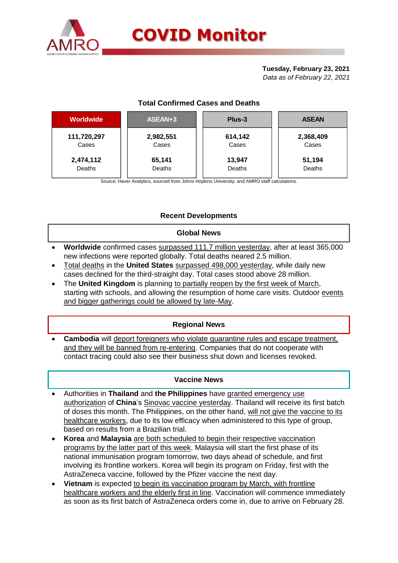

## **Tuesday, February 23, 2021**

*Data as of February 22, 2021*

# **Total Confirmed Cases and Deaths**

| <b>Worldwide</b> | ASEAN+3   | Plus-3  | <b>ASEAN</b> |
|------------------|-----------|---------|--------------|
| 111,720,297      | 2,982,551 | 614,142 | 2,368,409    |
| Cases            | Cases     | Cases   | Cases        |
| 2,474,112        | 65,141    | 13,947  | 51,194       |
| Deaths           | Deaths    | Deaths  | Deaths       |

Source: Haver Analytics, sourced from Johns Hopkins University; and AMRO staff calculations.

# **Recent Developments**

### **Global News**

- **Worldwide** confirmed cases surpassed 111.7 million yesterday, after at least 365,000 new infections were reported globally. Total deaths neared 2.5 million.
- Total deaths in the **United States** surpassed 498,000 yesterday, while daily new cases declined for the third-straight day. Total cases stood above 28 million.
- The **United Kingdom** is planning to partially reopen by the first week of March, starting with schools, and allowing the resumption of home care visits. Outdoor events and bigger gatherings could be allowed by late-May.

## **Regional News**

 **Cambodia** will deport foreigners who violate quarantine rules and escape treatment, and they will be banned from re-entering. Companies that do not cooperate with contact tracing could also see their business shut down and licenses revoked.

### **Vaccine News**

- Authorities in **Thailand** and **the Philippines** have granted emergency use authorization of **China**'s Sinovac vaccine yesterday. Thailand will receive its first batch of doses this month. The Philippines, on the other hand, will not give the vaccine to its healthcare workers, due to its low efficacy when administered to this type of group, based on results from a Brazilian trial.
- **Korea** and **Malaysia** are both scheduled to begin their respective vaccination programs by the latter part of this week. Malaysia will start the first phase of its national immunisation program tomorrow, two days ahead of schedule, and first involving its frontline workers. Korea will begin its program on Friday, first with the AstraZeneca vaccine, followed by the Pfizer vaccine the next day.
- **Vietnam** is expected to begin its vaccination program by March, with frontline healthcare workers and the elderly first in line. Vaccination will commence immediately as soon as its first batch of AstraZeneca orders come in, due to arrive on February 28.